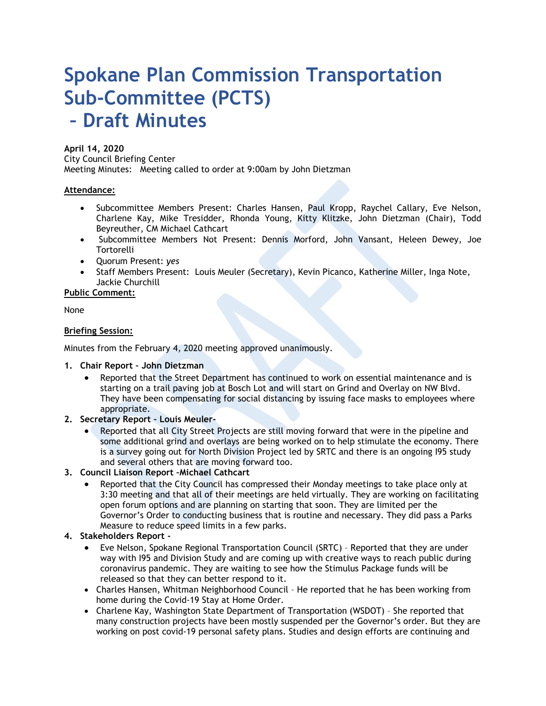# **Spokane Plan Commission Transportation Sub-Committee (PCTS) – Draft Minutes**

# **April 14, 2020**

City Council Briefing Center Meeting Minutes: Meeting called to order at 9:00am by John Dietzman

#### **Attendance:**

- Subcommittee Members Present: Charles Hansen, Paul Kropp, Raychel Callary, Eve Nelson, Charlene Kay, Mike Tresidder, Rhonda Young, Kitty Klitzke, John Dietzman (Chair), Todd Beyreuther, CM Michael Cathcart
- Subcommittee Members Not Present: Dennis Morford, John Vansant, Heleen Dewey, Joe **Tortorelli**
- Quorum Present: *yes*
- Staff Members Present: Louis Meuler (Secretary), Kevin Picanco, Katherine Miller, Inga Note, Jackie Churchill

#### **Public Comment:**

None

# **Briefing Session:**

Minutes from the February 4, 2020 meeting approved unanimously.

#### **1. Chair Report – John Dietzman**

• Reported that the Street Department has continued to work on essential maintenance and is starting on a trail paving job at Bosch Lot and will start on Grind and Overlay on NW Blvd. They have been compensating for social distancing by issuing face masks to employees where appropriate.

# **2. Secretary Report – Louis Meuler-**

• Reported that all City Street Projects are still moving forward that were in the pipeline and some additional grind and overlays are being worked on to help stimulate the economy. There is a survey going out for North Division Project led by SRTC and there is an ongoing I95 study and several others that are moving forward too.

# **3. Council Liaison Report –Michael Cathcart**

• Reported that the City Council has compressed their Monday meetings to take place only at 3:30 meeting and that all of their meetings are held virtually. They are working on facilitating open forum options and are planning on starting that soon. They are limited per the Governor's Order to conducting business that is routine and necessary. They did pass a Parks Measure to reduce speed limits in a few parks.

# **4. Stakeholders Report -**

- Eve Nelson, Spokane Regional Transportation Council (SRTC) Reported that they are under way with I95 and Division Study and are coming up with creative ways to reach public during coronavirus pandemic. They are waiting to see how the Stimulus Package funds will be released so that they can better respond to it.
- Charles Hansen, Whitman Neighborhood Council He reported that he has been working from home during the Covid-19 Stay at Home Order.
- Charlene Kay, Washington State Department of Transportation (WSDOT) She reported that many construction projects have been mostly suspended per the Governor's order. But they are working on post covid-19 personal safety plans. Studies and design efforts are continuing and